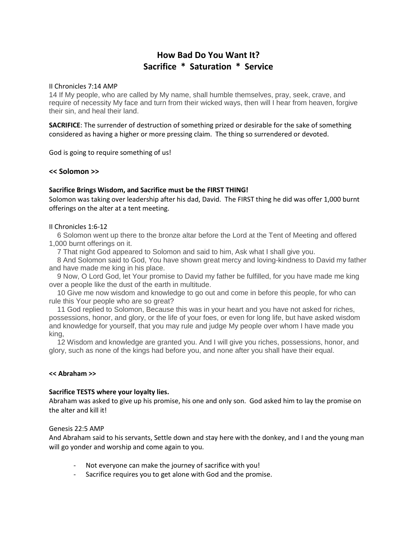# **How Bad Do You Want It? Sacrifice \* Saturation \* Service**

#### II Chronicles 7:14 AMP

14 If My people, who are called by My name, shall humble themselves, pray, seek, crave, and require of necessity My face and turn from their wicked ways, then will I hear from heaven, forgive their sin, and heal their land.

**SACRIFICE**: The surrender of destruction of something prized or desirable for the sake of something considered as having a higher or more pressing claim. The thing so surrendered or devoted.

God is going to require something of us!

## **<< Solomon >>**

# **Sacrifice Brings Wisdom, and Sacrifice must be the FIRST THING!**

Solomon was taking over leadership after his dad, David. The FIRST thing he did was offer 1,000 burnt offerings on the alter at a tent meeting.

## II Chronicles 1:6-12

6 Solomon went up there to the bronze altar before the Lord at the Tent of Meeting and offered 1,000 burnt offerings on it.

7 That night God appeared to Solomon and said to him, Ask what I shall give you.

8 And Solomon said to God, You have shown great mercy and loving-kindness to David my father and have made me king in his place.

9 Now, O Lord God, let Your promise to David my father be fulfilled, for you have made me king over a people like the dust of the earth in multitude.

10 Give me now wisdom and knowledge to go out and come in before this people, for who can rule this Your people who are so great?

11 God replied to Solomon, Because this was in your heart and you have not asked for riches, possessions, honor, and glory, or the life of your foes, or even for long life, but have asked wisdom and knowledge for yourself, that you may rule and judge My people over whom I have made you king,

12 Wisdom and knowledge are granted you. And I will give you riches, possessions, honor, and glory, such as none of the kings had before you, and none after you shall have their equal.

#### **<< Abraham >>**

# **Sacrifice TESTS where your loyalty lies.**

Abraham was asked to give up his promise, his one and only son. God asked him to lay the promise on the alter and kill it!

#### Genesis 22:5 AMP

And Abraham said to his servants, Settle down and stay here with the donkey, and I and the young man will go yonder and worship and come again to you.

- Not everyone can make the journey of sacrifice with you!
- Sacrifice requires you to get alone with God and the promise.